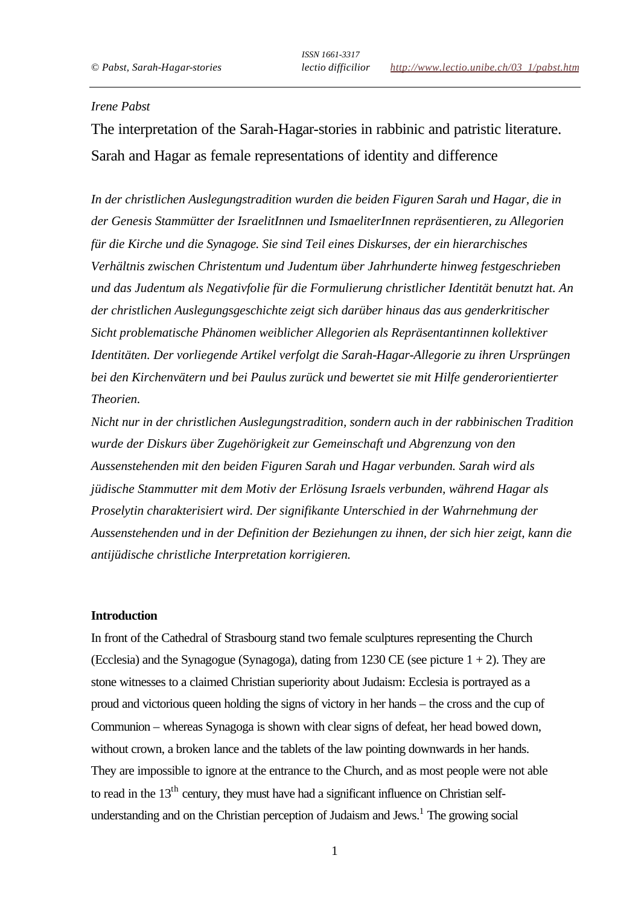# *Irene Pabst*

The interpretation of the Sarah-Hagar-stories in rabbinic and patristic literature. Sarah and Hagar as female representations of identity and difference

*In der christlichen Auslegungstradition wurden die beiden Figuren Sarah und Hagar, die in der Genesis Stammütter der IsraelitInnen und IsmaeliterInnen repräsentieren, zu Allegorien für die Kirche und die Synagoge. Sie sind Teil eines Diskurses, der ein hierarchisches Verhältnis zwischen Christentum und Judentum über Jahrhunderte hinweg festgeschrieben und das Judentum als Negativfolie für die Formulierung christlicher Identität benutzt hat. An der christlichen Auslegungsgeschichte zeigt sich darüber hinaus das aus genderkritischer Sicht problematische Phänomen weiblicher Allegorien als Repräsentantinnen kollektiver Identitäten. Der vorliegende Artikel verfolgt die Sarah-Hagar-Allegorie zu ihren Ursprüngen bei den Kirchenvätern und bei Paulus zurück und bewertet sie mit Hilfe genderorientierter Theorien.* 

*Nicht nur in der christlichen Auslegungstradition, sondern auch in der rabbinischen Tradition wurde der Diskurs über Zugehörigkeit zur Gemeinschaft und Abgrenzung von den Aussenstehenden mit den beiden Figuren Sarah und Hagar verbunden. Sarah wird als jüdische Stammutter mit dem Motiv der Erlösung Israels verbunden, während Hagar als Proselytin charakterisiert wird. Der signifikante Unterschied in der Wahrnehmung der Aussenstehenden und in der Definition der Beziehungen zu ihnen, der sich hier zeigt, kann die antijüdische christliche Interpretation korrigieren.*

## **Introduction**

In front of the Cathedral of Strasbourg stand two female sculptures representing the Church (Ecclesia) and the Synagogue (Synagoga), dating from 1230 CE (see picture  $1 + 2$ ). They are stone witnesses to a claimed Christian superiority about Judaism: Ecclesia is portrayed as a proud and victorious queen holding the signs of victory in her hands – the cross and the cup of Communion – whereas Synagoga is shown with clear signs of defeat, her head bowed down, without crown, a broken lance and the tablets of the law pointing downwards in her hands. They are impossible to ignore at the entrance to the Church, and as most people were not able to read in the  $13<sup>th</sup>$  century, they must have had a significant influence on Christian selfunderstanding and on the Christian perception of Judaism and Jews.<sup>1</sup> The growing social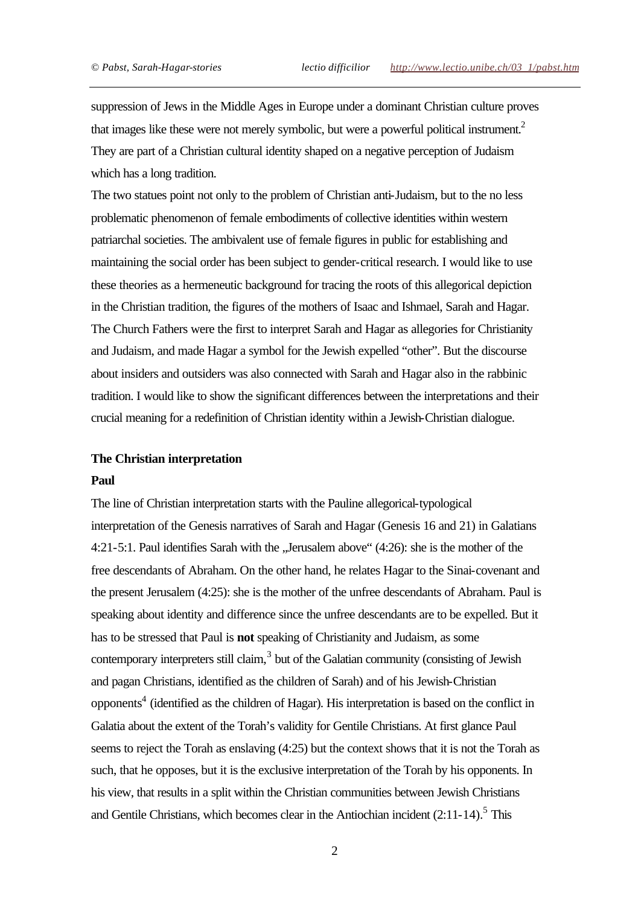suppression of Jews in the Middle Ages in Europe under a dominant Christian culture proves that images like these were not merely symbolic, but were a powerful political instrument.<sup>2</sup> They are part of a Christian cultural identity shaped on a negative perception of Judaism which has a long tradition.

The two statues point not only to the problem of Christian anti-Judaism, but to the no less problematic phenomenon of female embodiments of collective identities within western patriarchal societies. The ambivalent use of female figures in public for establishing and maintaining the social order has been subject to gender-critical research. I would like to use these theories as a hermeneutic background for tracing the roots of this allegorical depiction in the Christian tradition, the figures of the mothers of Isaac and Ishmael, Sarah and Hagar. The Church Fathers were the first to interpret Sarah and Hagar as allegories for Christianity and Judaism, and made Hagar a symbol for the Jewish expelled "other". But the discourse about insiders and outsiders was also connected with Sarah and Hagar also in the rabbinic tradition. I would like to show the significant differences between the interpretations and their crucial meaning for a redefinition of Christian identity within a Jewish-Christian dialogue.

## **The Christian interpretation**

#### **Paul**

The line of Christian interpretation starts with the Pauline allegorical-typological interpretation of the Genesis narratives of Sarah and Hagar (Genesis 16 and 21) in Galatians 4:21-5:1. Paul identifies Sarah with the "Jerusalem above" (4:26): she is the mother of the free descendants of Abraham. On the other hand, he relates Hagar to the Sinai-covenant and the present Jerusalem (4:25): she is the mother of the unfree descendants of Abraham. Paul is speaking about identity and difference since the unfree descendants are to be expelled. But it has to be stressed that Paul is **not** speaking of Christianity and Judaism, as some contemporary interpreters still claim, $3$  but of the Galatian community (consisting of Jewish and pagan Christians, identified as the children of Sarah) and of his Jewish-Christian opponents<sup>4</sup> (identified as the children of Hagar). His interpretation is based on the conflict in Galatia about the extent of the Torah's validity for Gentile Christians. At first glance Paul seems to reject the Torah as enslaving (4:25) but the context shows that it is not the Torah as such, that he opposes, but it is the exclusive interpretation of the Torah by his opponents. In his view, that results in a split within the Christian communities between Jewish Christians and Gentile Christians, which becomes clear in the Antiochian incident  $(2.11-14)$ .<sup>5</sup> This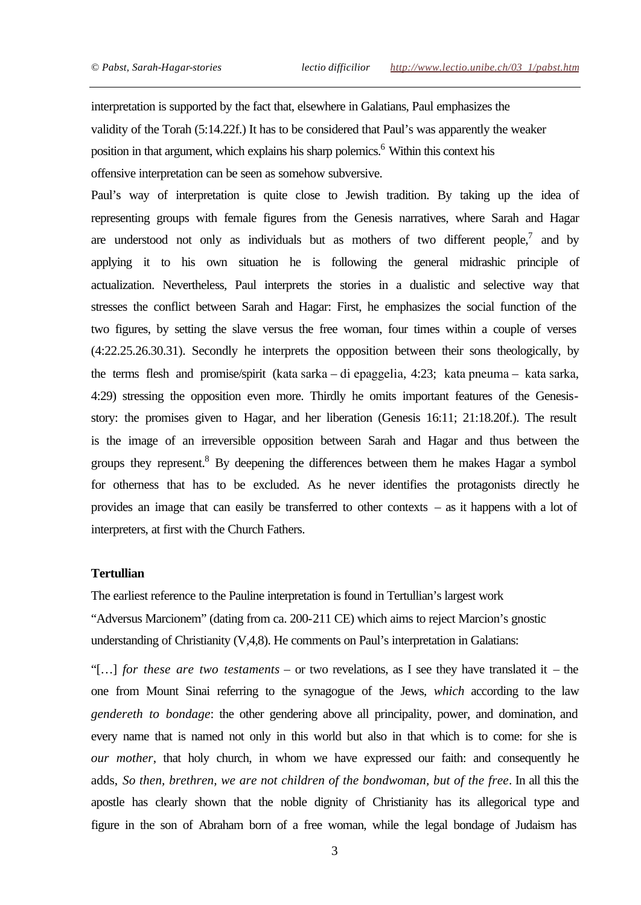interpretation is supported by the fact that, elsewhere in Galatians, Paul emphasizes the validity of the Torah (5:14.22f.) It has to be considered that Paul's was apparently the weaker position in that argument, which explains his sharp polemics.<sup>6</sup> Within this context his offensive interpretation can be seen as somehow subversive.

Paul's way of interpretation is quite close to Jewish tradition. By taking up the idea of representing groups with female figures from the Genesis narratives, where Sarah and Hagar are understood not only as individuals but as mothers of two different people,<sup>7</sup> and by applying it to his own situation he is following the general midrashic principle of actualization. Nevertheless, Paul interprets the stories in a dualistic and selective way that stresses the conflict between Sarah and Hagar: First, he emphasizes the social function of the two figures, by setting the slave versus the free woman, four times within a couple of verses (4:22.25.26.30.31). Secondly he interprets the opposition between their sons theologically, by the terms flesh and promise/spirit (kata sarka – di epaggelia, 4:23; kata pneuma – kata sarka, 4:29) stressing the opposition even more. Thirdly he omits important features of the Genesisstory: the promises given to Hagar, and her liberation (Genesis 16:11; 21:18.20f.). The result is the image of an irreversible opposition between Sarah and Hagar and thus between the groups they represent.<sup>8</sup> By deepening the differences between them he makes Hagar a symbol for otherness that has to be excluded. As he never identifies the protagonists directly he provides an image that can easily be transferred to other contexts – as it happens with a lot of interpreters, at first with the Church Fathers.

## **Tertullian**

The earliest reference to the Pauline interpretation is found in Tertullian's largest work "Adversus Marcionem" (dating from ca. 200-211 CE) which aims to reject Marcion's gnostic understanding of Christianity (V,4,8). He comments on Paul's interpretation in Galatians:

"[…] *for these are two testaments* – or two revelations, as I see they have translated it – the one from Mount Sinai referring to the synagogue of the Jews, *which* according to the law *gendereth to bondage*: the other gendering above all principality, power, and domination, and every name that is named not only in this world but also in that which is to come: for she is *our mother*, that holy church, in whom we have expressed our faith: and consequently he adds, *So then, brethren, we are not children of the bondwoman, but of the free*. In all this the apostle has clearly shown that the noble dignity of Christianity has its allegorical type and figure in the son of Abraham born of a free woman, while the legal bondage of Judaism has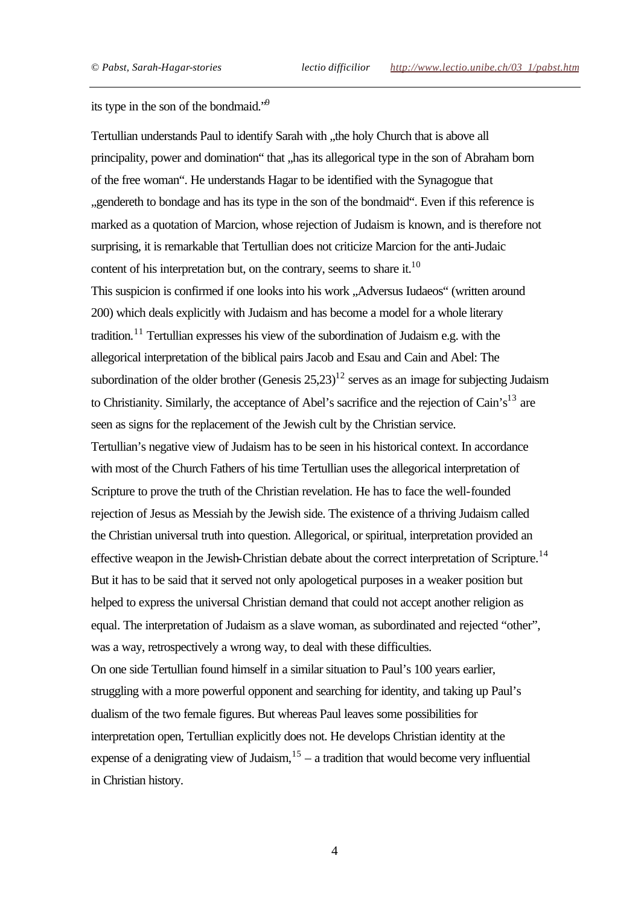its type in the son of the bondmaid."<sup>9</sup>

Tertullian understands Paul to identify Sarah with "the holy Church that is above all principality, power and domination" that "has its allegorical type in the son of Abraham born of the free woman". He understands Hagar to be identified with the Synagogue that "gendereth to bondage and has its type in the son of the bondmaid". Even if this reference is marked as a quotation of Marcion, whose rejection of Judaism is known, and is therefore not surprising, it is remarkable that Tertullian does not criticize Marcion for the anti-Judaic content of his interpretation but, on the contrary, seems to share it.<sup>10</sup> This suspicion is confirmed if one looks into his work . Adversus Iudaeos" (written around 200) which deals explicitly with Judaism and has become a model for a whole literary tradition.<sup>11</sup> Tertullian expresses his view of the subordination of Judaism e.g. with the allegorical interpretation of the biblical pairs Jacob and Esau and Cain and Abel: The subordination of the older brother (Genesis  $25.23$ )<sup>12</sup> serves as an image for subjecting Judaism to Christianity. Similarly, the acceptance of Abel's sacrifice and the rejection of Cain's<sup>13</sup> are seen as signs for the replacement of the Jewish cult by the Christian service. Tertullian's negative view of Judaism has to be seen in his historical context. In accordance with most of the Church Fathers of his time Tertullian uses the allegorical interpretation of Scripture to prove the truth of the Christian revelation. He has to face the well-founded rejection of Jesus as Messiah by the Jewish side. The existence of a thriving Judaism called the Christian universal truth into question. Allegorical, or spiritual, interpretation provided an effective weapon in the Jewish-Christian debate about the correct interpretation of Scripture.<sup>14</sup> But it has to be said that it served not only apologetical purposes in a weaker position but helped to express the universal Christian demand that could not accept another religion as equal. The interpretation of Judaism as a slave woman, as subordinated and rejected "other", was a way, retrospectively a wrong way, to deal with these difficulties. On one side Tertullian found himself in a similar situation to Paul's 100 years earlier, struggling with a more powerful opponent and searching for identity, and taking up Paul's dualism of the two female figures. But whereas Paul leaves some possibilities for interpretation open, Tertullian explicitly does not. He develops Christian identity at the expense of a denigrating view of Judaism,  $1<sup>5</sup> - a$  tradition that would become very influential in Christian history.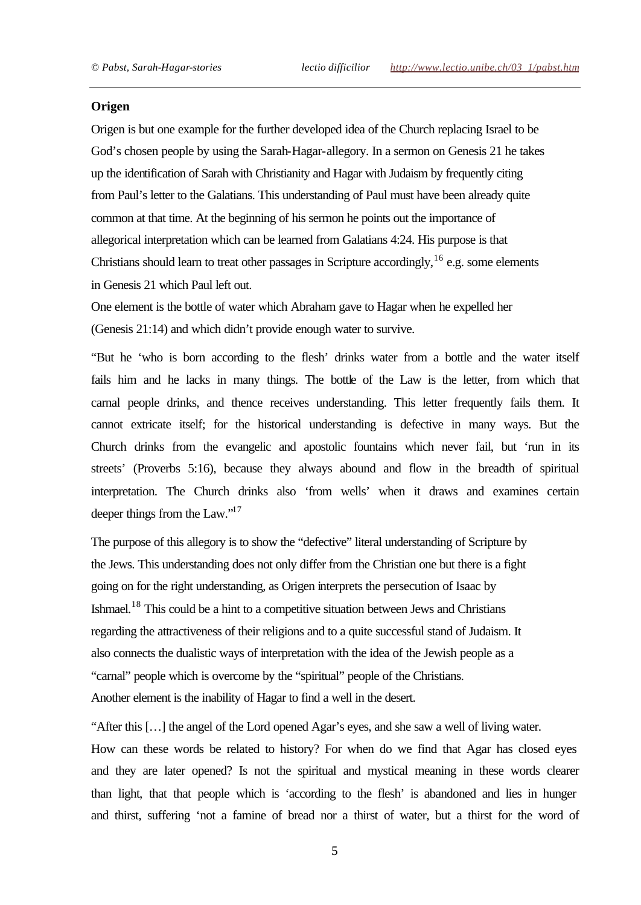#### **Origen**

Origen is but one example for the further developed idea of the Church replacing Israel to be God's chosen people by using the Sarah-Hagar-allegory. In a sermon on Genesis 21 he takes up the identification of Sarah with Christianity and Hagar with Judaism by frequently citing from Paul's letter to the Galatians. This understanding of Paul must have been already quite common at that time. At the beginning of his sermon he points out the importance of allegorical interpretation which can be learned from Galatians 4:24. His purpose is that Christians should learn to treat other passages in Scripture accordingly,  $^{16}$  e.g. some elements in Genesis 21 which Paul left out.

One element is the bottle of water which Abraham gave to Hagar when he expelled her (Genesis 21:14) and which didn't provide enough water to survive.

"But he 'who is born according to the flesh' drinks water from a bottle and the water itself fails him and he lacks in many things. The bottle of the Law is the letter, from which that carnal people drinks, and thence receives understanding. This letter frequently fails them. It cannot extricate itself; for the historical understanding is defective in many ways. But the Church drinks from the evangelic and apostolic fountains which never fail, but 'run in its streets' (Proverbs 5:16), because they always abound and flow in the breadth of spiritual interpretation. The Church drinks also 'from wells' when it draws and examines certain deeper things from the Law."<sup>17</sup>

The purpose of this allegory is to show the "defective" literal understanding of Scripture by the Jews. This understanding does not only differ from the Christian one but there is a fight going on for the right understanding, as Origen interprets the persecution of Isaac by Ishmael.<sup>18</sup> This could be a hint to a competitive situation between Jews and Christians regarding the attractiveness of their religions and to a quite successful stand of Judaism. It also connects the dualistic ways of interpretation with the idea of the Jewish people as a "carnal" people which is overcome by the "spiritual" people of the Christians. Another element is the inability of Hagar to find a well in the desert.

"After this […] the angel of the Lord opened Agar's eyes, and she saw a well of living water. How can these words be related to history? For when do we find that Agar has closed eyes and they are later opened? Is not the spiritual and mystical meaning in these words clearer than light, that that people which is 'according to the flesh' is abandoned and lies in hunger and thirst, suffering 'not a famine of bread nor a thirst of water, but a thirst for the word of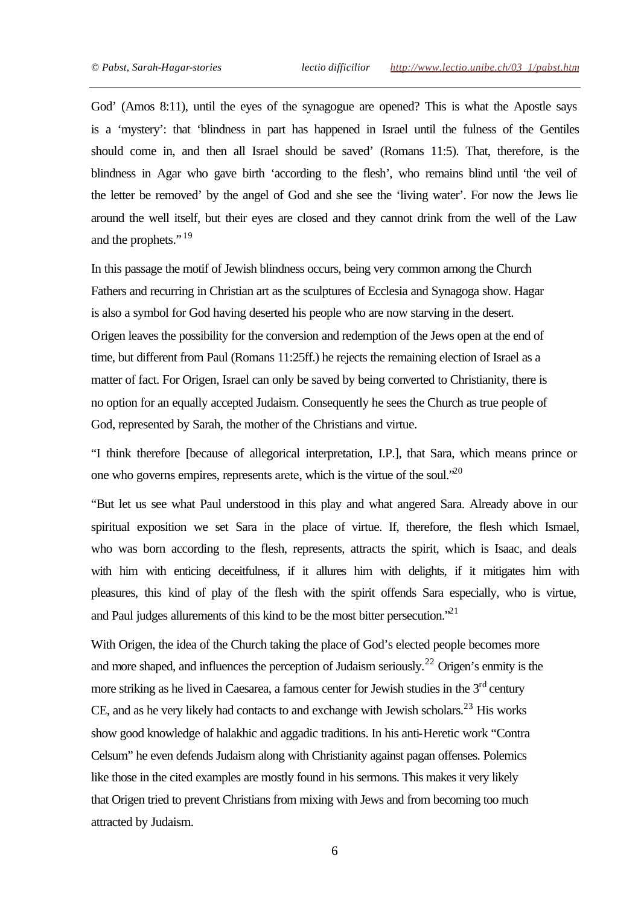God' (Amos 8:11), until the eyes of the synagogue are opened? This is what the Apostle says is a 'mystery': that 'blindness in part has happened in Israel until the fulness of the Gentiles should come in, and then all Israel should be saved' (Romans 11:5). That, therefore, is the blindness in Agar who gave birth 'according to the flesh', who remains blind until 'the veil of the letter be removed' by the angel of God and she see the 'living water'. For now the Jews lie around the well itself, but their eyes are closed and they cannot drink from the well of the Law and the prophets."<sup>19</sup>

In this passage the motif of Jewish blindness occurs, being very common among the Church Fathers and recurring in Christian art as the sculptures of Ecclesia and Synagoga show. Hagar is also a symbol for God having deserted his people who are now starving in the desert. Origen leaves the possibility for the conversion and redemption of the Jews open at the end of time, but different from Paul (Romans 11:25ff.) he rejects the remaining election of Israel as a matter of fact. For Origen, Israel can only be saved by being converted to Christianity, there is no option for an equally accepted Judaism. Consequently he sees the Church as true people of God, represented by Sarah, the mother of the Christians and virtue.

"I think therefore [because of allegorical interpretation, I.P.], that Sara, which means prince or one who governs empires, represents arete, which is the virtue of the soul.<sup>20</sup>

"But let us see what Paul understood in this play and what angered Sara. Already above in our spiritual exposition we set Sara in the place of virtue. If, therefore, the flesh which Ismael, who was born according to the flesh, represents, attracts the spirit, which is Isaac, and deals with him with enticing deceitfulness, if it allures him with delights, if it mitigates him with pleasures, this kind of play of the flesh with the spirit offends Sara especially, who is virtue, and Paul judges allurements of this kind to be the most bitter persecution.<sup>521</sup>

With Origen, the idea of the Church taking the place of God's elected people becomes more and more shaped, and influences the perception of Judaism seriously.<sup>22</sup> Origen's enmity is the more striking as he lived in Caesarea, a famous center for Jewish studies in the  $3<sup>rd</sup>$  century CE, and as he very likely had contacts to and exchange with Jewish scholars.<sup>23</sup> His works show good knowledge of halakhic and aggadic traditions. In his anti-Heretic work "Contra Celsum" he even defends Judaism along with Christianity against pagan offenses. Polemics like those in the cited examples are mostly found in his sermons. This makes it very likely that Origen tried to prevent Christians from mixing with Jews and from becoming too much attracted by Judaism.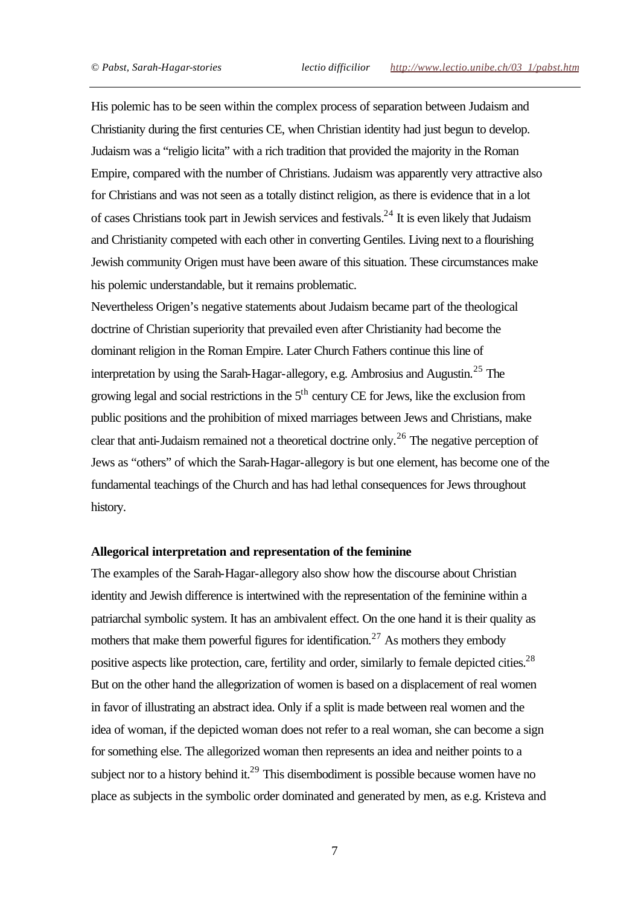His polemic has to be seen within the complex process of separation between Judaism and Christianity during the first centuries CE, when Christian identity had just begun to develop. Judaism was a "religio licita" with a rich tradition that provided the majority in the Roman Empire, compared with the number of Christians. Judaism was apparently very attractive also for Christians and was not seen as a totally distinct religion, as there is evidence that in a lot of cases Christians took part in Jewish services and festivals.<sup>24</sup> It is even likely that Judaism and Christianity competed with each other in converting Gentiles. Living next to a flourishing Jewish community Origen must have been aware of this situation. These circumstances make his polemic understandable, but it remains problematic.

Nevertheless Origen's negative statements about Judaism became part of the theological doctrine of Christian superiority that prevailed even after Christianity had become the dominant religion in the Roman Empire. Later Church Fathers continue this line of interpretation by using the Sarah-Hagar-allegory, e.g. Ambrosius and Augustin.<sup>25</sup> The growing legal and social restrictions in the  $5<sup>th</sup>$  century CE for Jews, like the exclusion from public positions and the prohibition of mixed marriages between Jews and Christians, make clear that anti-Judaism remained not a theoretical doctrine only.<sup>26</sup> The negative perception of Jews as "others" of which the Sarah-Hagar-allegory is but one element, has become one of the fundamental teachings of the Church and has had lethal consequences for Jews throughout history.

## **Allegorical interpretation and representation of the feminine**

The examples of the Sarah-Hagar-allegory also show how the discourse about Christian identity and Jewish difference is intertwined with the representation of the feminine within a patriarchal symbolic system. It has an ambivalent effect. On the one hand it is their quality as mothers that make them powerful figures for identification.<sup>27</sup> As mothers they embody positive aspects like protection, care, fertility and order, similarly to female depicted cities.<sup>28</sup> But on the other hand the allegorization of women is based on a displacement of real women in favor of illustrating an abstract idea. Only if a split is made between real women and the idea of woman, if the depicted woman does not refer to a real woman, she can become a sign for something else. The allegorized woman then represents an idea and neither points to a subject nor to a history behind it.<sup>29</sup> This disembodiment is possible because women have no place as subjects in the symbolic order dominated and generated by men, as e.g. Kristeva and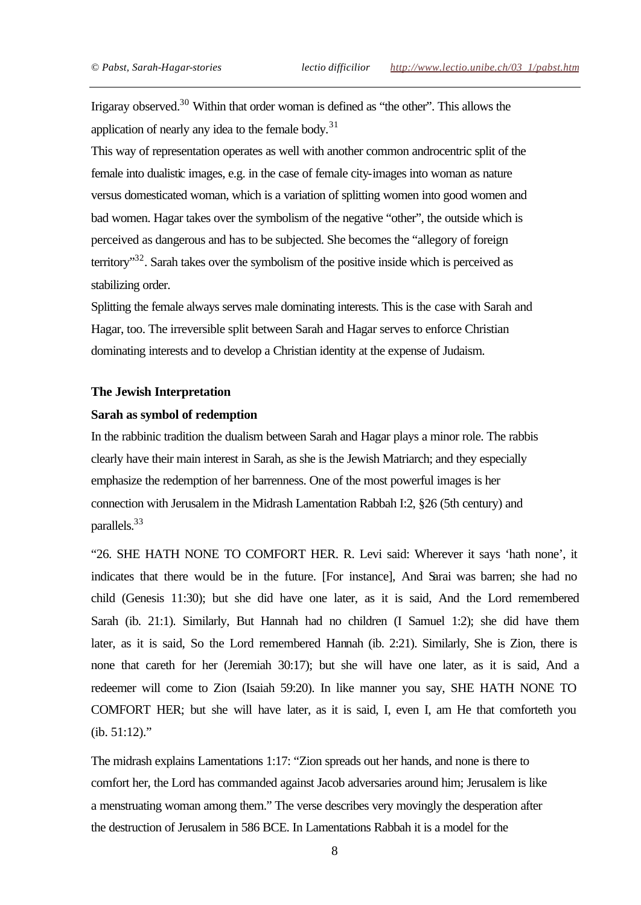Irigaray observed.<sup>30</sup> Within that order woman is defined as "the other". This allows the application of nearly any idea to the female body. $31$ 

This way of representation operates as well with another common androcentric split of the female into dualistic images, e.g. in the case of female city-images into woman as nature versus domesticated woman, which is a variation of splitting women into good women and bad women. Hagar takes over the symbolism of the negative "other", the outside which is perceived as dangerous and has to be subjected. She becomes the "allegory of foreign territory $132$ . Sarah takes over the symbolism of the positive inside which is perceived as stabilizing order.

Splitting the female always serves male dominating interests. This is the case with Sarah and Hagar, too. The irreversible split between Sarah and Hagar serves to enforce Christian dominating interests and to develop a Christian identity at the expense of Judaism.

#### **The Jewish Interpretation**

#### **Sarah as symbol of redemption**

In the rabbinic tradition the dualism between Sarah and Hagar plays a minor role. The rabbis clearly have their main interest in Sarah, as she is the Jewish Matriarch; and they especially emphasize the redemption of her barrenness. One of the most powerful images is her connection with Jerusalem in the Midrash Lamentation Rabbah I:2, §26 (5th century) and parallels.<sup>33</sup>

"26. SHE HATH NONE TO COMFORT HER. R. Levi said: Wherever it says 'hath none', it indicates that there would be in the future. [For instance], And Sarai was barren; she had no child (Genesis 11:30); but she did have one later, as it is said, And the Lord remembered Sarah (ib. 21:1). Similarly, But Hannah had no children (I Samuel 1:2); she did have them later, as it is said, So the Lord remembered Hannah (ib. 2:21). Similarly, She is Zion, there is none that careth for her (Jeremiah 30:17); but she will have one later, as it is said, And a redeemer will come to Zion (Isaiah 59:20). In like manner you say, SHE HATH NONE TO COMFORT HER; but she will have later, as it is said, I, even I, am He that comforteth you (ib. 51:12)."

The midrash explains Lamentations 1:17: "Zion spreads out her hands, and none is there to comfort her, the Lord has commanded against Jacob adversaries around him; Jerusalem is like a menstruating woman among them." The verse describes very movingly the desperation after the destruction of Jerusalem in 586 BCE. In Lamentations Rabbah it is a model for the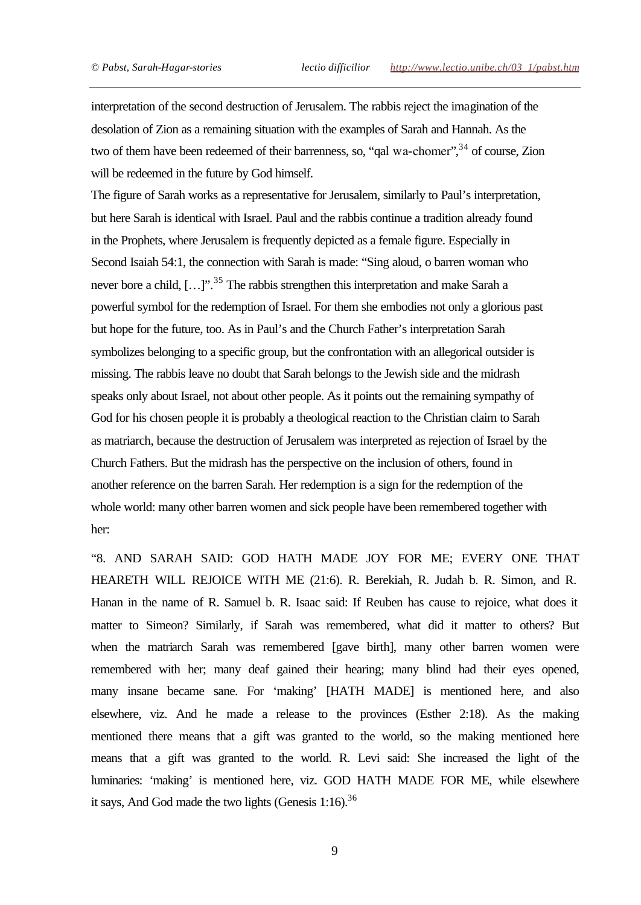interpretation of the second destruction of Jerusalem. The rabbis reject the imagination of the desolation of Zion as a remaining situation with the examples of Sarah and Hannah. As the two of them have been redeemed of their barrenness, so, "qal wa-chomer",<sup>34</sup> of course, Zion will be redeemed in the future by God himself.

The figure of Sarah works as a representative for Jerusalem, similarly to Paul's interpretation, but here Sarah is identical with Israel. Paul and the rabbis continue a tradition already found in the Prophets, where Jerusalem is frequently depicted as a female figure. Especially in Second Isaiah 54:1, the connection with Sarah is made: "Sing aloud, o barren woman who never bore a child,  $[...]$ <sup>35</sup>. The rabbis strengthen this interpretation and make Sarah a powerful symbol for the redemption of Israel. For them she embodies not only a glorious past but hope for the future, too. As in Paul's and the Church Father's interpretation Sarah symbolizes belonging to a specific group, but the confrontation with an allegorical outsider is missing. The rabbis leave no doubt that Sarah belongs to the Jewish side and the midrash speaks only about Israel, not about other people. As it points out the remaining sympathy of God for his chosen people it is probably a theological reaction to the Christian claim to Sarah as matriarch, because the destruction of Jerusalem was interpreted as rejection of Israel by the Church Fathers. But the midrash has the perspective on the inclusion of others, found in another reference on the barren Sarah. Her redemption is a sign for the redemption of the whole world: many other barren women and sick people have been remembered together with her:

"8. AND SARAH SAID: GOD HATH MADE JOY FOR ME; EVERY ONE THAT HEARETH WILL REJOICE WITH ME (21:6). R. Berekiah, R. Judah b. R. Simon, and R. Hanan in the name of R. Samuel b. R. Isaac said: If Reuben has cause to rejoice, what does it matter to Simeon? Similarly, if Sarah was remembered, what did it matter to others? But when the matriarch Sarah was remembered [gave birth], many other barren women were remembered with her; many deaf gained their hearing; many blind had their eyes opened, many insane became sane. For 'making' [HATH MADE] is mentioned here, and also elsewhere, viz. And he made a release to the provinces (Esther 2:18). As the making mentioned there means that a gift was granted to the world, so the making mentioned here means that a gift was granted to the world. R. Levi said: She increased the light of the luminaries: 'making' is mentioned here, viz. GOD HATH MADE FOR ME, while elsewhere it says, And God made the two lights (Genesis  $1:16$ ).<sup>36</sup>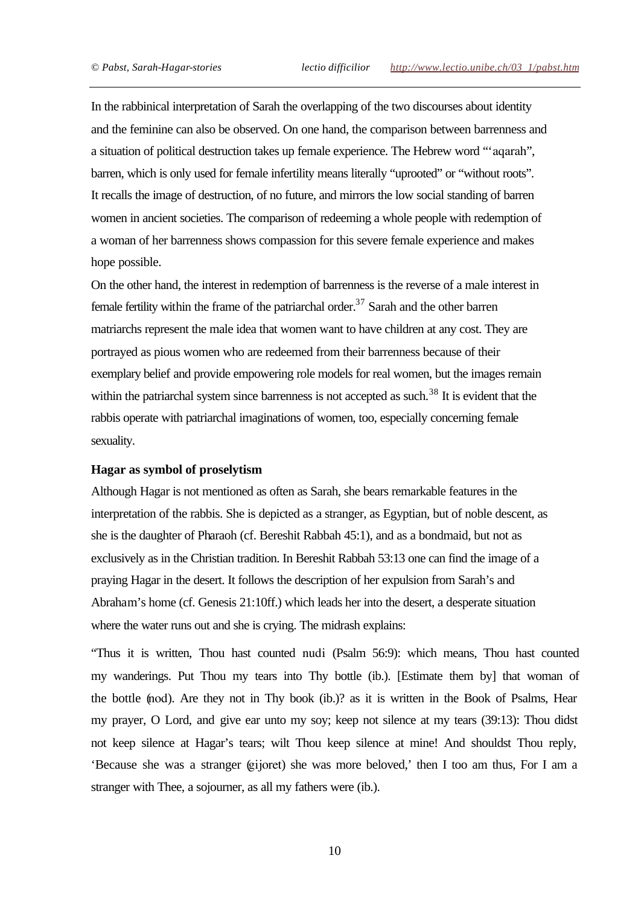In the rabbinical interpretation of Sarah the overlapping of the two discourses about identity and the feminine can also be observed. On one hand, the comparison between barrenness and a situation of political destruction takes up female experience. The Hebrew word "'aqarah", barren, which is only used for female infertility means literally "uprooted" or "without roots". It recalls the image of destruction, of no future, and mirrors the low social standing of barren women in ancient societies. The comparison of redeeming a whole people with redemption of a woman of her barrenness shows compassion for this severe female experience and makes hope possible.

On the other hand, the interest in redemption of barrenness is the reverse of a male interest in female fertility within the frame of the patriarchal order.<sup>37</sup> Sarah and the other barren matriarchs represent the male idea that women want to have children at any cost. They are portrayed as pious women who are redeemed from their barrenness because of their exemplary belief and provide empowering role models for real women, but the images remain within the patriarchal system since barrenness is not accepted as such.<sup>38</sup> It is evident that the rabbis operate with patriarchal imaginations of women, too, especially concerning female sexuality.

#### **Hagar as symbol of proselytism**

Although Hagar is not mentioned as often as Sarah, she bears remarkable features in the interpretation of the rabbis. She is depicted as a stranger, as Egyptian, but of noble descent, as she is the daughter of Pharaoh (cf. Bereshit Rabbah 45:1), and as a bondmaid, but not as exclusively as in the Christian tradition. In Bereshit Rabbah 53:13 one can find the image of a praying Hagar in the desert. It follows the description of her expulsion from Sarah's and Abraham's home (cf. Genesis 21:10ff.) which leads her into the desert, a desperate situation where the water runs out and she is crying. The midrash explains:

"Thus it is written, Thou hast counted nudi (Psalm 56:9): which means, Thou hast counted my wanderings. Put Thou my tears into Thy bottle (ib.). [Estimate them by] that woman of the bottle (nod). Are they not in Thy book (ib.)? as it is written in the Book of Psalms, Hear my prayer, O Lord, and give ear unto my soy; keep not silence at my tears (39:13): Thou didst not keep silence at Hagar's tears; wilt Thou keep silence at mine! And shouldst Thou reply, 'Because she was a stranger (gijoret) she was more beloved,' then I too am thus, For I am a stranger with Thee, a sojourner, as all my fathers were (ib.).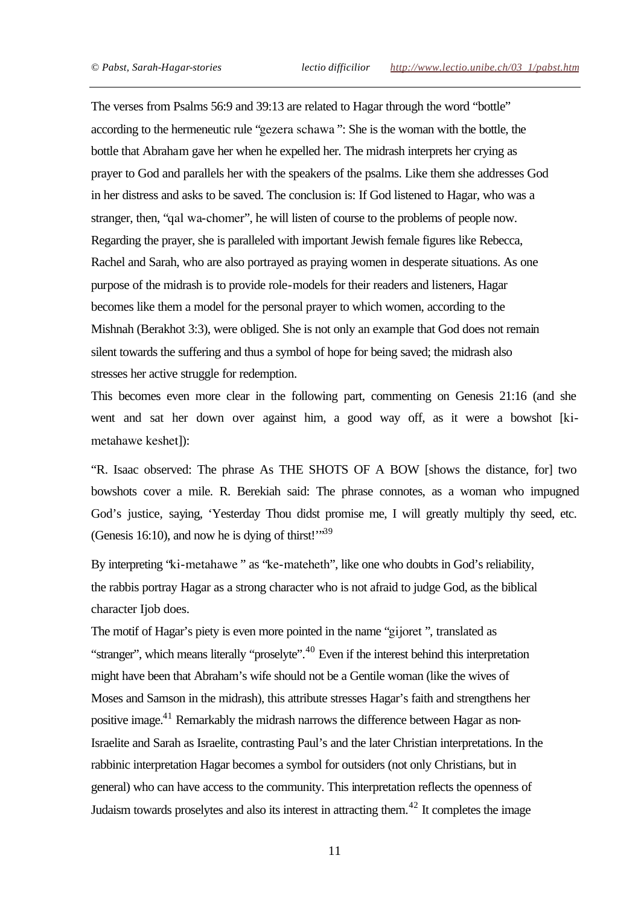The verses from Psalms 56:9 and 39:13 are related to Hagar through the word "bottle" according to the hermeneutic rule "gezera schawa ": She is the woman with the bottle, the bottle that Abraham gave her when he expelled her. The midrash interprets her crying as prayer to God and parallels her with the speakers of the psalms. Like them she addresses God in her distress and asks to be saved. The conclusion is: If God listened to Hagar, who was a stranger, then, "qal wa-chomer", he will listen of course to the problems of people now. Regarding the prayer, she is paralleled with important Jewish female figures like Rebecca, Rachel and Sarah, who are also portrayed as praying women in desperate situations. As one purpose of the midrash is to provide role-models for their readers and listeners, Hagar becomes like them a model for the personal prayer to which women, according to the Mishnah (Berakhot 3:3), were obliged. She is not only an example that God does not remain silent towards the suffering and thus a symbol of hope for being saved; the midrash also stresses her active struggle for redemption.

This becomes even more clear in the following part, commenting on Genesis 21:16 (and she went and sat her down over against him, a good way off, as it were a bowshot [kimetahawe keshet]):

"R. Isaac observed: The phrase As THE SHOTS OF A BOW [shows the distance, for] two bowshots cover a mile. R. Berekiah said: The phrase connotes, as a woman who impugned God's justice, saying, 'Yesterday Thou didst promise me, I will greatly multiply thy seed, etc. (Genesis 16:10), and now he is dying of thirst!" $39$ 

By interpreting "ki-metahawe " as "ke-mateheth", like one who doubts in God's reliability, the rabbis portray Hagar as a strong character who is not afraid to judge God, as the biblical character Ijob does.

The motif of Hagar's piety is even more pointed in the name "gijoret ", translated as "stranger", which means literally "proselyte".<sup>40</sup> Even if the interest behind this interpretation might have been that Abraham's wife should not be a Gentile woman (like the wives of Moses and Samson in the midrash), this attribute stresses Hagar's faith and strengthens her positive image.<sup>41</sup> Remarkably the midrash narrows the difference between Hagar as non-Israelite and Sarah as Israelite, contrasting Paul's and the later Christian interpretations. In the rabbinic interpretation Hagar becomes a symbol for outsiders (not only Christians, but in general) who can have access to the community. This interpretation reflects the openness of Judaism towards proselytes and also its interest in attracting them.<sup>42</sup> It completes the image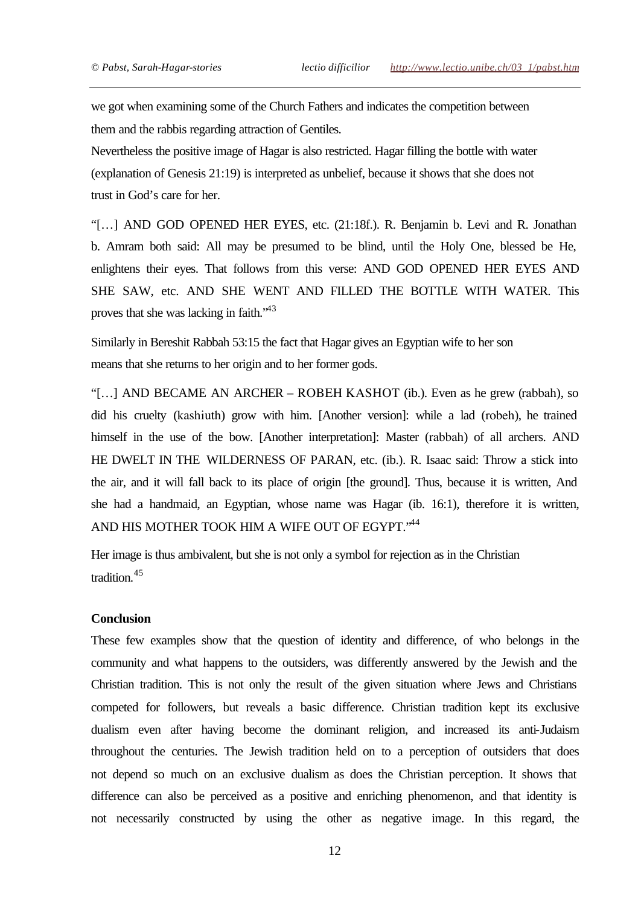we got when examining some of the Church Fathers and indicates the competition between them and the rabbis regarding attraction of Gentiles.

Nevertheless the positive image of Hagar is also restricted. Hagar filling the bottle with water (explanation of Genesis 21:19) is interpreted as unbelief, because it shows that she does not trust in God's care for her.

"[…] AND GOD OPENED HER EYES, etc. (21:18f.). R. Benjamin b. Levi and R. Jonathan b. Amram both said: All may be presumed to be blind, until the Holy One, blessed be He, enlightens their eyes. That follows from this verse: AND GOD OPENED HER EYES AND SHE SAW, etc. AND SHE WENT AND FILLED THE BOTTLE WITH WATER. This proves that she was lacking in faith.<sup>43</sup>

Similarly in Bereshit Rabbah 53:15 the fact that Hagar gives an Egyptian wife to her son means that she returns to her origin and to her former gods.

"[…] AND BECAME AN ARCHER – ROBEH KASHOT (ib.). Even as he grew (rabbah), so did his cruelty (kashiuth) grow with him. [Another version]: while a lad (robeh), he trained himself in the use of the bow. [Another interpretation]: Master (rabbah) of all archers. AND HE DWELT IN THE WILDERNESS OF PARAN, etc. (ib.). R. Isaac said: Throw a stick into the air, and it will fall back to its place of origin [the ground]. Thus, because it is written, And she had a handmaid, an Egyptian, whose name was Hagar (ib. 16:1), therefore it is written, AND HIS MOTHER TOOK HIM A WIFE OUT OF EGYPT."44

Her image is thus ambivalent, but she is not only a symbol for rejection as in the Christian tradition.<sup>45</sup>

## **Conclusion**

These few examples show that the question of identity and difference, of who belongs in the community and what happens to the outsiders, was differently answered by the Jewish and the Christian tradition. This is not only the result of the given situation where Jews and Christians competed for followers, but reveals a basic difference. Christian tradition kept its exclusive dualism even after having become the dominant religion, and increased its anti-Judaism throughout the centuries. The Jewish tradition held on to a perception of outsiders that does not depend so much on an exclusive dualism as does the Christian perception. It shows that difference can also be perceived as a positive and enriching phenomenon, and that identity is not necessarily constructed by using the other as negative image. In this regard, the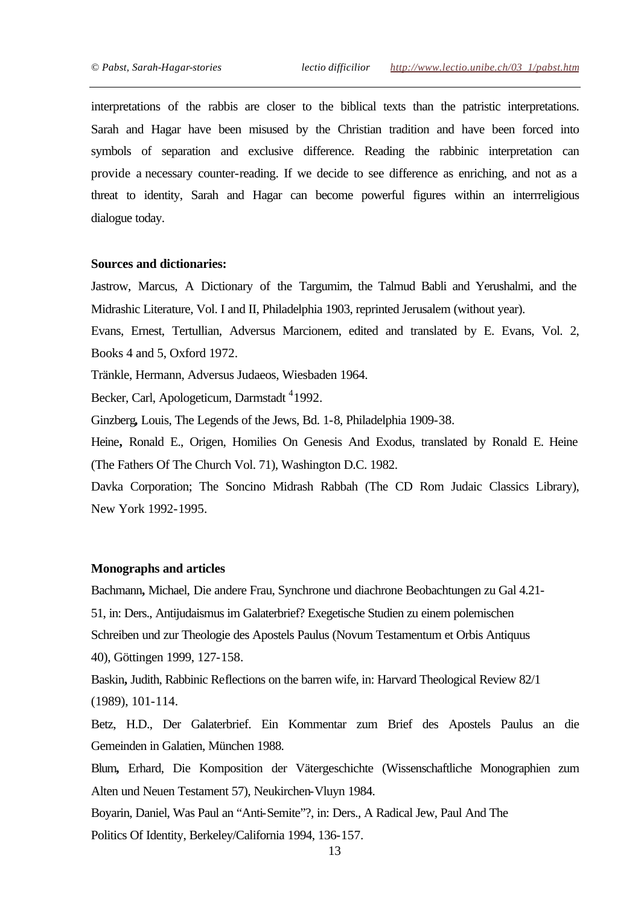interpretations of the rabbis are closer to the biblical texts than the patristic interpretations. Sarah and Hagar have been misused by the Christian tradition and have been forced into symbols of separation and exclusive difference. Reading the rabbinic interpretation can provide a necessary counter-reading. If we decide to see difference as enriching, and not as a threat to identity, Sarah and Hagar can become powerful figures within an interrreligious dialogue today.

### **Sources and dictionaries:**

Jastrow, Marcus, A Dictionary of the Targumim, the Talmud Babli and Yerushalmi, and the Midrashic Literature, Vol. I and II, Philadelphia 1903, reprinted Jerusalem (without year).

Evans, Ernest, Tertullian, Adversus Marcionem, edited and translated by E. Evans, Vol. 2, Books 4 and 5, Oxford 1972.

Tränkle, Hermann, Adversus Judaeos, Wiesbaden 1964.

Becker, Carl, Apologeticum, Darmstadt <sup>4</sup>1992.

Ginzberg**,** Louis, The Legends of the Jews, Bd. 1-8, Philadelphia 1909-38.

Heine**,** Ronald E., Origen, Homilies On Genesis And Exodus, translated by Ronald E. Heine (The Fathers Of The Church Vol. 71), Washington D.C. 1982.

Davka Corporation; The Soncino Midrash Rabbah (The CD Rom Judaic Classics Library), New York 1992-1995.

#### **Monographs and articles**

Bachmann**,** Michael, Die andere Frau, Synchrone und diachrone Beobachtungen zu Gal 4.21- 51, in: Ders., Antijudaismus im Galaterbrief? Exegetische Studien zu einem polemischen Schreiben und zur Theologie des Apostels Paulus (Novum Testamentum et Orbis Antiquus 40), Göttingen 1999, 127-158.

Baskin**,** Judith, Rabbinic Reflections on the barren wife, in: Harvard Theological Review 82/1 (1989), 101-114.

Betz, H.D., Der Galaterbrief. Ein Kommentar zum Brief des Apostels Paulus an die Gemeinden in Galatien, München 1988.

Blum**,** Erhard, Die Komposition der Vätergeschichte (Wissenschaftliche Monographien zum Alten und Neuen Testament 57), Neukirchen-Vluyn 1984.

Boyarin, Daniel, Was Paul an "Anti-Semite"?, in: Ders., A Radical Jew, Paul And The

Politics Of Identity, Berkeley/California 1994, 136-157.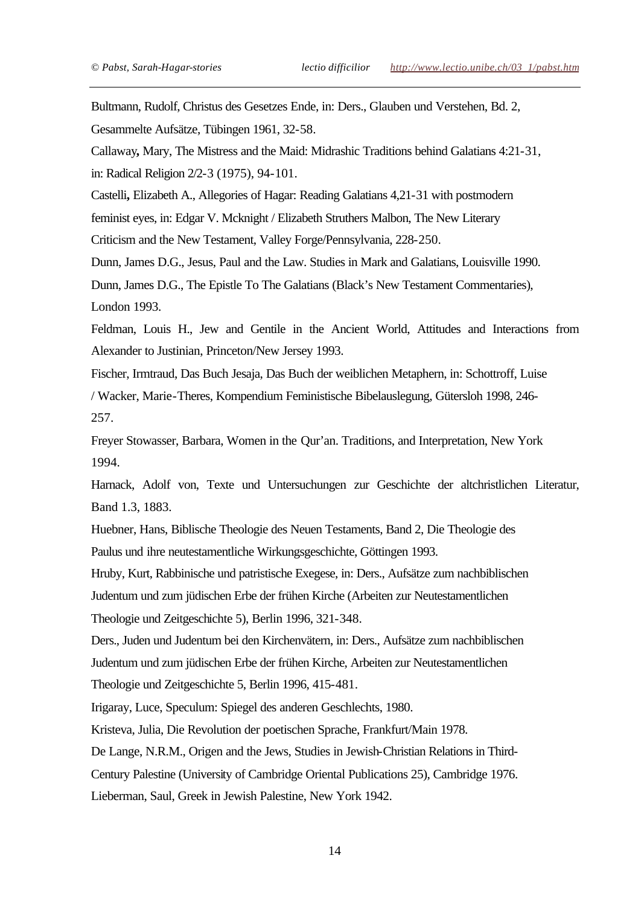Bultmann, Rudolf, Christus des Gesetzes Ende, in: Ders., Glauben und Verstehen, Bd. 2, Gesammelte Aufsätze, Tübingen 1961, 32-58.

Callaway**,** Mary, The Mistress and the Maid: Midrashic Traditions behind Galatians 4:21-31, in: Radical Religion 2/2-3 (1975), 94-101.

Castelli**,** Elizabeth A., Allegories of Hagar: Reading Galatians 4,21-31 with postmodern

feminist eyes, in: Edgar V. Mcknight / Elizabeth Struthers Malbon, The New Literary

Criticism and the New Testament, Valley Forge/Pennsylvania, 228-250.

Dunn, James D.G., Jesus, Paul and the Law. Studies in Mark and Galatians, Louisville 1990.

Dunn, James D.G., The Epistle To The Galatians (Black's New Testament Commentaries), London 1993.

Feldman, Louis H., Jew and Gentile in the Ancient World, Attitudes and Interactions from Alexander to Justinian, Princeton/New Jersey 1993.

Fischer, Irmtraud, Das Buch Jesaja, Das Buch der weiblichen Metaphern, in: Schottroff, Luise

/ Wacker, Marie-Theres, Kompendium Feministische Bibelauslegung, Gütersloh 1998, 246- 257.

Freyer Stowasser, Barbara, Women in the Qur'an. Traditions, and Interpretation, New York 1994.

Harnack, Adolf von, Texte und Untersuchungen zur Geschichte der altchristlichen Literatur, Band 1.3, 1883.

Huebner, Hans, Biblische Theologie des Neuen Testaments, Band 2, Die Theologie des Paulus und ihre neutestamentliche Wirkungsgeschichte, Göttingen 1993.

Hruby, Kurt, Rabbinische und patristische Exegese, in: Ders., Aufsätze zum nachbiblischen

Judentum und zum jüdischen Erbe der frühen Kirche (Arbeiten zur Neutestamentlichen

Theologie und Zeitgeschichte 5), Berlin 1996, 321-348.

Ders., Juden und Judentum bei den Kirchenvätern, in: Ders., Aufsätze zum nachbiblischen Judentum und zum jüdischen Erbe der frühen Kirche, Arbeiten zur Neutestamentlichen Theologie und Zeitgeschichte 5, Berlin 1996, 415-481.

Irigaray, Luce, Speculum: Spiegel des anderen Geschlechts, 1980.

Kristeva, Julia, Die Revolution der poetischen Sprache, Frankfurt/Main 1978.

De Lange, N.R.M., Origen and the Jews, Studies in Jewish-Christian Relations in Third-Century Palestine (University of Cambridge Oriental Publications 25), Cambridge 1976. Lieberman, Saul, Greek in Jewish Palestine, New York 1942.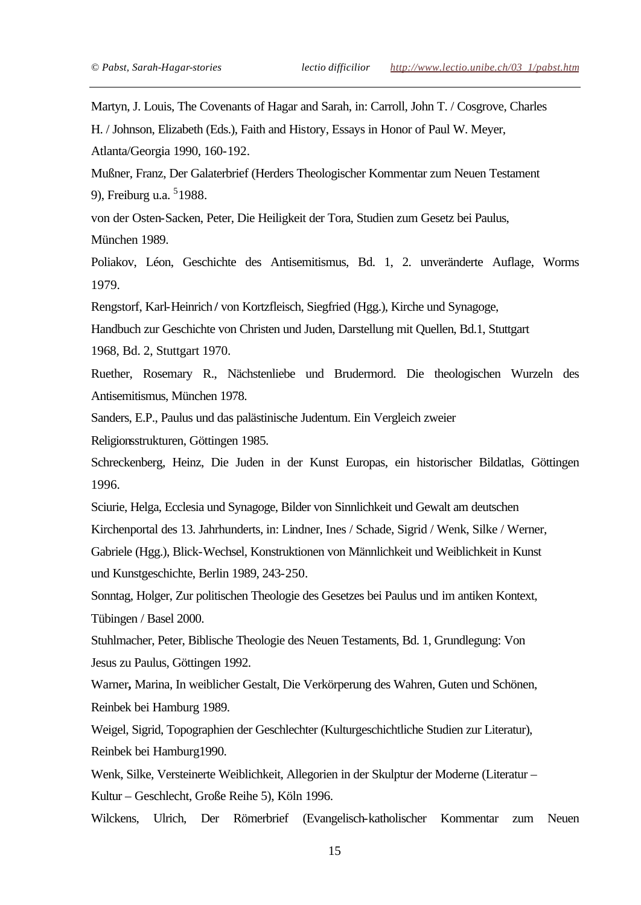Martyn, J. Louis, The Covenants of Hagar and Sarah, in: Carroll, John T. / Cosgrove, Charles

H. / Johnson, Elizabeth (Eds.), Faith and History, Essays in Honor of Paul W. Meyer,

Atlanta/Georgia 1990, 160-192.

Mußner, Franz, Der Galaterbrief (Herders Theologischer Kommentar zum Neuen Testament 9), Freiburg u.a. <sup>5</sup>1988.

von der Osten-Sacken, Peter, Die Heiligkeit der Tora, Studien zum Gesetz bei Paulus, München 1989.

Poliakov, Léon, Geschichte des Antisemitismus, Bd. 1, 2. unveränderte Auflage, Worms 1979.

Rengstorf, Karl-Heinrich **/** von Kortzfleisch, Siegfried (Hgg.), Kirche und Synagoge,

Handbuch zur Geschichte von Christen und Juden, Darstellung mit Quellen, Bd.1, Stuttgart

1968, Bd. 2, Stuttgart 1970.

Ruether, Rosemary R., Nächstenliebe und Brudermord. Die theologischen Wurzeln des Antisemitismus, München 1978.

Sanders, E.P., Paulus und das palästinische Judentum. Ein Vergleich zweier

Religionsstrukturen, Göttingen 1985.

Schreckenberg, Heinz, Die Juden in der Kunst Europas, ein historischer Bildatlas, Göttingen 1996.

Sciurie, Helga, Ecclesia und Synagoge, Bilder von Sinnlichkeit und Gewalt am deutschen Kirchenportal des 13. Jahrhunderts, in: Lindner, Ines / Schade, Sigrid / Wenk, Silke / Werner, Gabriele (Hgg.), Blick-Wechsel, Konstruktionen von Männlichkeit und Weiblichkeit in Kunst

und Kunstgeschichte, Berlin 1989, 243-250.

Sonntag, Holger, Zur politischen Theologie des Gesetzes bei Paulus und im antiken Kontext, Tübingen / Basel 2000.

Stuhlmacher, Peter, Biblische Theologie des Neuen Testaments, Bd. 1, Grundlegung: Von Jesus zu Paulus, Göttingen 1992.

Warner**,** Marina, In weiblicher Gestalt, Die Verkörperung des Wahren, Guten und Schönen, Reinbek bei Hamburg 1989.

Weigel, Sigrid, Topographien der Geschlechter (Kulturgeschichtliche Studien zur Literatur), Reinbek bei Hamburg1990.

Wenk, Silke, Versteinerte Weiblichkeit, Allegorien in der Skulptur der Moderne (Literatur – Kultur – Geschlecht, Große Reihe 5), Köln 1996.

Wilckens, Ulrich, Der Römerbrief (Evangelisch-katholischer Kommentar zum Neuen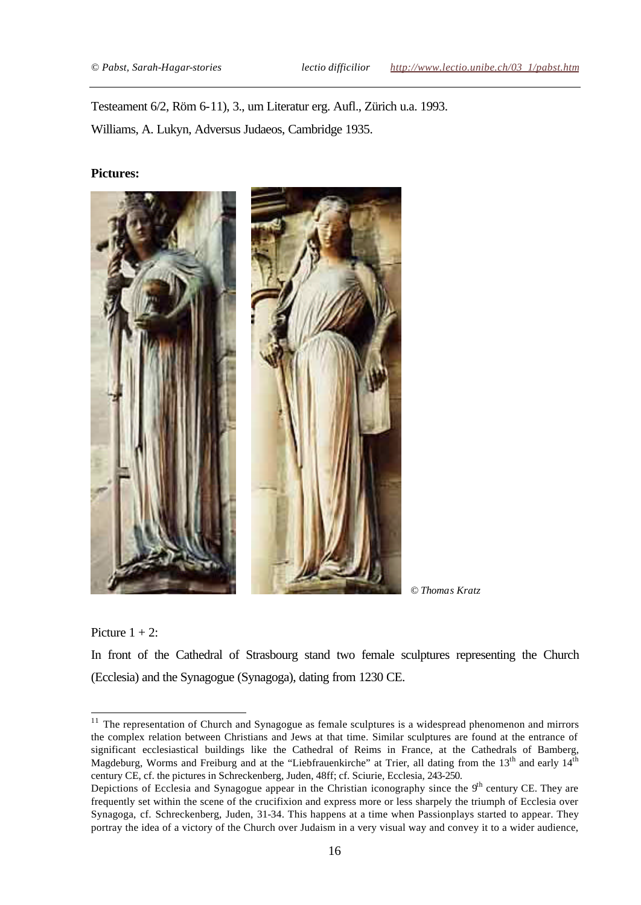Testeament 6/2, Röm 6-11), 3., um Literatur erg. Aufl., Zürich u.a. 1993. Williams, A. Lukyn, Adversus Judaeos, Cambridge 1935.

#### **Pictures:**



*© Thomas Kratz*

Picture  $1 + 2$ :

In front of the Cathedral of Strasbourg stand two female sculptures representing the Church (Ecclesia) and the Synagogue (Synagoga), dating from 1230 CE.

<sup>11</sup> The representation of Church and Synagogue as female sculptures is a widespread phenomenon and mirrors the complex relation between Christians and Jews at that time. Similar sculptures are found at the entrance of significant ecclesiastical buildings like the Cathedral of Reims in France, at the Cathedrals of Bamberg, Magdeburg, Worms and Freiburg and at the "Liebfrauenkirche" at Trier, all dating from the  $13<sup>th</sup>$  and early  $14<sup>th</sup>$ century CE, cf. the pictures in Schreckenberg, Juden, 48ff; cf. Sciurie, Ecclesia, 243-250.

Depictions of Ecclesia and Synagogue appear in the Christian iconography since the  $9<sup>th</sup>$  century CE. They are frequently set within the scene of the crucifixion and express more or less sharpely the triumph of Ecclesia over Synagoga, cf. Schreckenberg, Juden, 31-34. This happens at a time when Passionplays started to appear. They portray the idea of a victory of the Church over Judaism in a very visual way and convey it to a wider audience,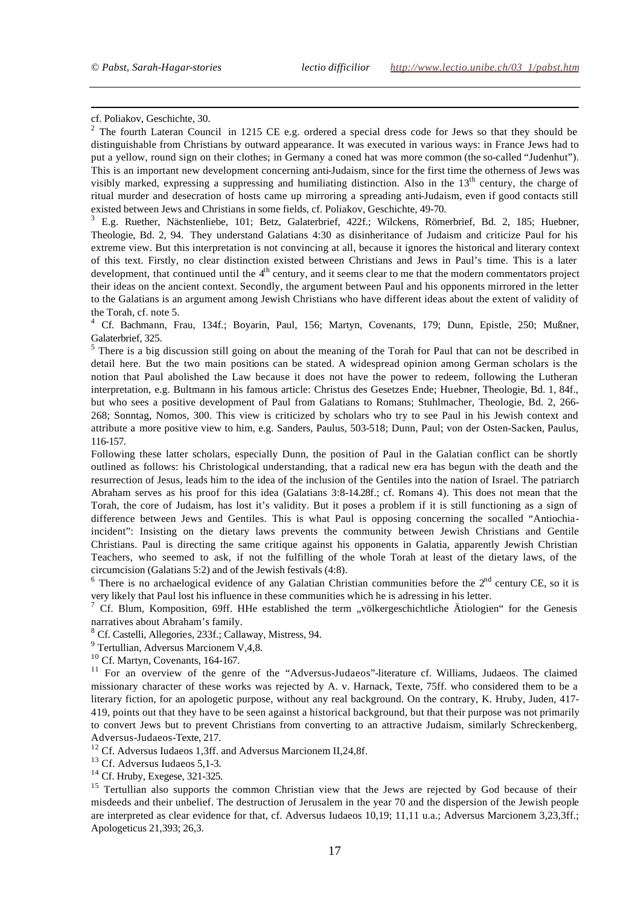cf. Poliakov, Geschichte, 30.

l

<sup>2</sup> The fourth Lateran Council in 1215 CE e.g. ordered a special dress code for Jews so that they should be distinguishable from Christians by outward appearance. It was executed in various ways: in France Jews had to put a yellow, round sign on their clothes; in Germany a coned hat was more common (the so-called "Judenhut"). This is an important new development concerning anti-Judaism, since for the first time the otherness of Jews was visibly marked, expressing a suppressing and humiliating distinction. Also in the  $13<sup>th</sup>$  century, the charge of ritual murder and desecration of hosts came up mirroring a spreading anti-Judaism, even if good contacts still existed between Jews and Christians in some fields, cf. Poliakov, Geschichte, 49-70.

<sup>3</sup> E.g. Ruether, Nächstenliebe, 101; Betz, Galaterbrief, 422f.; Wilckens, Römerbrief, Bd. 2, 185; Huebner, Theologie, Bd. 2, 94. They understand Galatians 4:30 as disinheritance of Judaism and criticize Paul for his extreme view. But this interpretation is not convincing at all, because it ignores the historical and literary context of this text. Firstly, no clear distinction existed between Christians and Jews in Paul's time. This is a later development, that continued until the  $4<sup>th</sup>$  century, and it seems clear to me that the modern commentators project their ideas on the ancient context. Secondly, the argument between Paul and his opponents mirrored in the letter to the Galatians is an argument among Jewish Christians who have different ideas about the extent of validity of the Torah, cf. note 5.

4 Cf. Bachmann, Frau, 134f.; Boyarin, Paul, 156; Martyn, Covenants, 179; Dunn, Epistle, 250; Mußner, Galaterbrief, 325.

 $<sup>5</sup>$  There is a big discussion still going on about the meaning of the Torah for Paul that can not be described in</sup> detail here. But the two main positions can be stated. A widespread opinion among German scholars is the notion that Paul abolished the Law because it does not have the power to redeem, following the Lutheran interpretation, e.g. Bultmann in his famous article: Christus des Gesetzes Ende; Huebner, Theologie, Bd. 1, 84f., but who sees a positive development of Paul from Galatians to Romans; Stuhlmacher, Theologie, Bd. 2, 266- 268; Sonntag, Nomos, 300. This view is criticized by scholars who try to see Paul in his Jewish context and attribute a more positive view to him, e.g. Sanders, Paulus, 503-518; Dunn, Paul; von der Osten-Sacken, Paulus, 116-157.

Following these latter scholars, especially Dunn, the position of Paul in the Galatian conflict can be shortly outlined as follows: his Christological understanding, that a radical new era has begun with the death and the resurrection of Jesus, leads him to the idea of the inclusion of the Gentiles into the nation of Israel. The patriarch Abraham serves as his proof for this idea (Galatians 3:8-14.28f.; cf. Romans 4). This does not mean that the Torah, the core of Judaism, has lost it's validity. But it poses a problem if it is still functioning as a sign of difference between Jews and Gentiles. This is what Paul is opposing concerning the socalled "Antiochiaincident": Insisting on the dietary laws prevents the community between Jewish Christians and Gentile Christians. Paul is directing the same critique against his opponents in Galatia, apparently Jewish Christian Teachers, who seemed to ask, if not the fulfilling of the whole Torah at least of the dietary laws, of the circumcision (Galatians 5:2) and of the Jewish festivals (4:8).

 $6$  There is no archaelogical evidence of any Galatian Christian communities before the  $2<sup>nd</sup>$  century CE, so it is very likely that Paul lost his influence in these communities which he is adressing in his letter.

<sup>7</sup> Cf. Blum, Komposition, 69ff. HHe established the term "völkergeschichtliche Ätiologien" for the Genesis narratives about Abraham's family.

<sup>8</sup> Cf. Castelli, Allegories, 233f.; Callaway, Mistress, 94.

<sup>9</sup> Tertullian, Adversus Marcionem V,4,8.

 $10$  Cf. Martyn, Covenants, 164-167.

<sup>11</sup> For an overview of the genre of the "Adversus-Judaeos"-literature cf. Williams, Judaeos. The claimed missionary character of these works was rejected by A. v. Harnack, Texte, 75ff. who considered them to be a literary fiction, for an apologetic purpose, without any real background. On the contrary, K. Hruby, Juden, 417- 419, points out that they have to be seen against a historical background, but that their purpose was not primarily to convert Jews but to prevent Christians from converting to an attractive Judaism, similarly Schreckenberg, Adversus-Judaeos-Texte, 217.

<sup>12</sup> Cf. Adversus Iudaeos 1,3ff. and Adversus Marcionem II,24,8f.

<sup>13</sup> Cf. Adversus Iudaeos 5,1-3.

 $14$  Cf. Hruby, Exegese, 321-325.

<sup>15</sup> Tertullian also supports the common Christian view that the Jews are rejected by God because of their misdeeds and their unbelief. The destruction of Jerusalem in the year 70 and the dispersion of the Jewish people are interpreted as clear evidence for that, cf. Adversus Iudaeos 10,19; 11,11 u.a.; Adversus Marcionem 3,23,3ff.; Apologeticus 21,393; 26,3.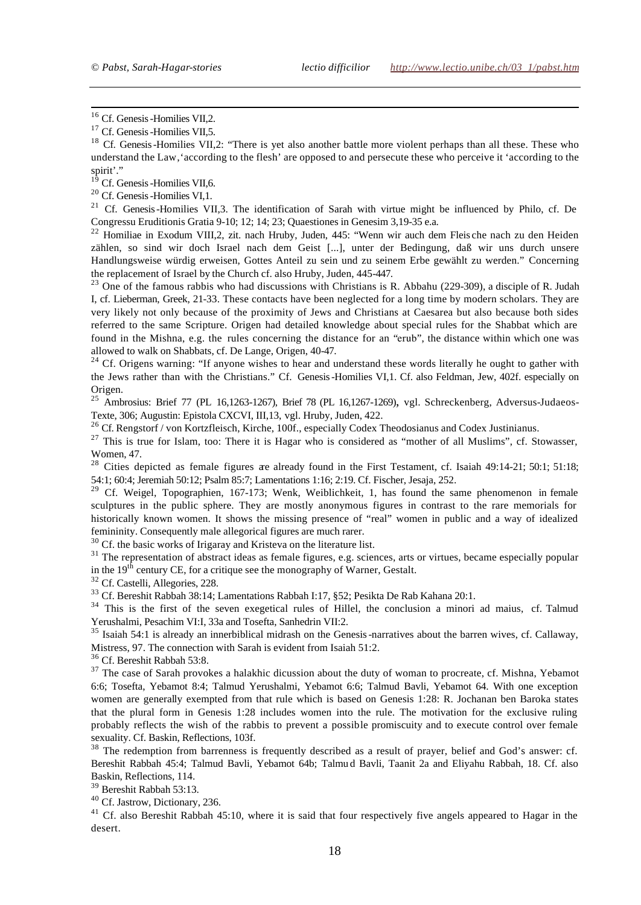<sup>16</sup> Cf. Genesis-Homilies VII,2.

l

<sup>18</sup> Cf. Genesis-Homilies VII,2: "There is yet also another battle more violent perhaps than all these. These who understand the Law, 'according to the flesh' are opposed to and persecute these who perceive it 'according to the spirit'."

<sup>19</sup> Cf. Genesis - Homilies VII,6.

<sup>20</sup> Cf. Genesis-Homilies VI,1.

<sup>21</sup> Cf. Genesis-Homilies VII,3. The identification of Sarah with virtue might be influenced by Philo, cf. De Congressu Eruditionis Gratia 9-10; 12; 14; 23; Quaestiones in Genesim 3,19-35 e.a.

<sup>22</sup> Homiliae in Exodum VIII,2, zit. nach Hruby, Juden, 445: "Wenn wir auch dem Fleis che nach zu den Heiden zählen, so sind wir doch Israel nach dem Geist [...], unter der Bedingung, daß wir uns durch unsere Handlungsweise würdig erweisen, Gottes Anteil zu sein und zu seinem Erbe gewählt zu werden." Concerning the replacement of Israel by the Church cf. also Hruby, Juden, 445-447.

 $^{23}$  One of the famous rabbis who had discussions with Christians is R. Abbahu (229-309), a disciple of R. Judah I, cf. Lieberman, Greek, 21-33. These contacts have been neglected for a long time by modern scholars. They are very likely not only because of the proximity of Jews and Christians at Caesarea but also because both sides referred to the same Scripture. Origen had detailed knowledge about special rules for the Shabbat which are found in the Mishna, e.g. the rules concerning the distance for an "erub", the distance within which one was allowed to walk on Shabbats, cf. De Lange, Origen, 40-47.

<sup>24</sup> Cf. Origens warning: "If anyone wishes to hear and understand these words literally he ought to gather with the Jews rather than with the Christians." Cf. Genesis-Homilies VI,1. Cf. also Feldman, Jew, 402f. especially on Origen.

<sup>25</sup> Ambrosius: Brief 77 (PL 16,1263-1267), Brief 78 (PL 16,1267-1269), vgl. Schreckenberg, Adversus-Judaeos-Texte, 306; Augustin: Epistola CXCVI, III,13, vgl. Hruby, Juden, 422.

<sup>26</sup> Cf. Rengstorf / von Kortzfleisch, Kirche, 100f., especially Codex Theodosianus and Codex Justinianus.

 $27$  This is true for Islam, too: There it is Hagar who is considered as "mother of all Muslims", cf. Stowasser, Women, 47.

<sup>28</sup> Cities depicted as female figures are already found in the First Testament, cf. Isaiah 49:14-21; 50:1; 51:18; 54:1; 60:4; Jeremiah 50:12; Psalm 85:7; Lamentations 1:16; 2:19. Cf. Fischer, Jesaja, 252.

<sup>29</sup> Cf. Weigel, Topographien, 167-173; Wenk, Weiblichkeit, 1, has found the same phenomenon in female sculptures in the public sphere. They are mostly anonymous figures in contrast to the rare memorials for historically known women. It shows the missing presence of "real" women in public and a way of idealized femininity. Consequently male allegorical figures are much rarer.

<sup>30</sup> Cf. the basic works of Irigaray and Kristeva on the literature list.

 $31$  The representation of abstract ideas as female figures, e.g. sciences, arts or virtues, became especially popular in the  $19<sup>th</sup>$  century CE, for a critique see the monography of Warner, Gestalt.

<sup>32</sup> Cf. Castelli, Allegories, 228.

<sup>33</sup> Cf. Bereshit Rabbah 38:14; Lamentations Rabbah I:17, §52; Pesikta De Rab Kahana 20:1.

<sup>34</sup> This is the first of the seven exegetical rules of Hillel, the conclusion a minori ad maius, cf. Talmud Yerushalmi, Pesachim VI:I, 33a and Tosefta, Sanhedrin VII:2.

<sup>35</sup> Isaiah 54:1 is already an innerbiblical midrash on the Genesis-narratives about the barren wives, cf. Callaway, Mistress, 97. The connection with Sarah is evident from Isaiah 51:2.

<sup>36</sup> Cf. Bereshit Rabbah 53:8.

<sup>37</sup> The case of Sarah provokes a halakhic dicussion about the duty of woman to procreate, cf. Mishna, Yebamot 6:6; Tosefta, Yebamot 8:4; Talmud Yerushalmi, Yebamot 6:6; Talmud Bavli, Yebamot 64. With one exception women are generally exempted from that rule which is based on Genesis 1:28: R. Jochanan ben Baroka states that the plural form in Genesis 1:28 includes women into the rule. The motivation for the exclusive ruling probably reflects the wish of the rabbis to prevent a possible promiscuity and to execute control over female sexuality. Cf. Baskin, Reflections, 103f.

<sup>38</sup> The redemption from barrenness is frequently described as a result of prayer, belief and God's answer: cf. Bereshit Rabbah 45:4; Talmud Bavli, Yebamot 64b; Talmu d Bavli, Taanit 2a and Eliyahu Rabbah, 18. Cf. also Baskin, Reflections, 114.

<sup>39</sup> Bereshit Rabbah 53:13.

<sup>40</sup> Cf. Jastrow, Dictionary, 236.

<sup>41</sup> Cf. also Bereshit Rabbah 45:10, where it is said that four respectively five angels appeared to Hagar in the desert.

<sup>&</sup>lt;sup>17</sup> Cf. Genesis -Homilies VII,5.